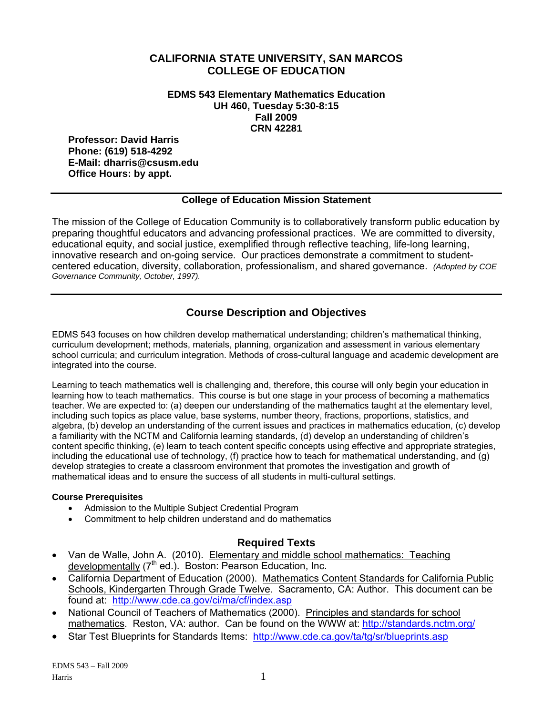### **CALIFORNIA STATE UNIVERSITY, SAN MARCOS COLLEGE OF EDUCATION**

**EDMS 543 Elementary Mathematics Education UH 460, Tuesday 5:30-8:15 Fall 2009 CRN 42281** 

**Professor: David Harris Phone: (619) 518-4292 E-Mail: dharris@csusm.edu Office Hours: by appt.** 

### **College of Education Mission Statement**

The mission of the College of Education Community is to collaboratively transform public education by preparing thoughtful educators and advancing professional practices. We are committed to diversity, educational equity, and social justice, exemplified through reflective teaching, life-long learning, innovative research and on-going service. Our practices demonstrate a commitment to studentcentered education, diversity, collaboration, professionalism, and shared governance. *(Adopted by COE Governance Community, October, 1997).* 

## **Course Description and Objectives**

EDMS 543 focuses on how children develop mathematical understanding; children's mathematical thinking, curriculum development; methods, materials, planning, organization and assessment in various elementary school curricula; and curriculum integration. Methods of cross-cultural language and academic development are integrated into the course.

Learning to teach mathematics well is challenging and, therefore, this course will only begin your education in learning how to teach mathematics. This course is but one stage in your process of becoming a mathematics teacher. We are expected to: (a) deepen our understanding of the mathematics taught at the elementary level, including such topics as place value, base systems, number theory, fractions, proportions, statistics, and algebra, (b) develop an understanding of the current issues and practices in mathematics education, (c) develop a familiarity with the NCTM and California learning standards, (d) develop an understanding of children's content specific thinking, (e) learn to teach content specific concepts using effective and appropriate strategies. including the educational use of technology, (f) practice how to teach for mathematical understanding, and (g) develop strategies to create a classroom environment that promotes the investigation and growth of mathematical ideas and to ensure the success of all students in multi-cultural settings.

#### **Course Prerequisites**

- Admission to the Multiple Subject Credential Program
- Commitment to help children understand and do mathematics

## **Required Texts**

- Van de Walle, John A. (2010). Elementary and middle school mathematics: Teaching developmentally  $(7<sup>th</sup>$  ed.). Boston: Pearson Education, Inc.
- found at: http://www.cde.ca.gov/ci/ma/cf/index.asp • California Department of Education (2000). Mathematics Content Standards for California Public Schools, Kindergarten Through Grade Twelve. Sacramento, CA: Author. This document can be
- National Council of Teachers of Mathematics (2000). Principles and standards for school mathematics. Reston, VA: author. Can be found on the WWW at: http://standards.nctm.org/
- Star Test Blueprints for Standards Items: http://www.cde.ca.gov/ta/tg/sr/blueprints.asp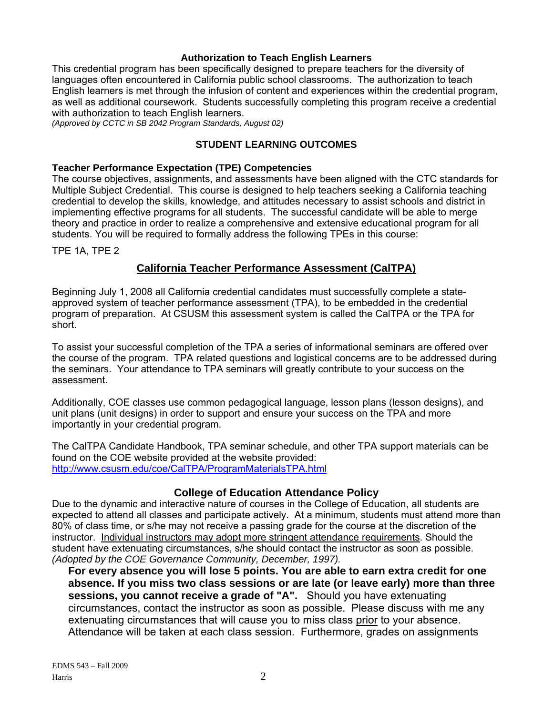### **Authorization to Teach English Learners**

This credential program has been specifically designed to prepare teachers for the diversity of languages often encountered in California public school classrooms. The authorization to teach English learners is met through the infusion of content and experiences within the credential program, as well as additional coursework. Students successfully completing this program receive a credential with authorization to teach English learners.

*(Approved by CCTC in SB 2042 Program Standards, August 02)* 

#### **STUDENT LEARNING OUTCOMES**

#### **Teacher Performance Expectation (TPE) Competencies**

The course objectives, assignments, and assessments have been aligned with the CTC standards for Multiple Subject Credential. This course is designed to help teachers seeking a California teaching credential to develop the skills, knowledge, and attitudes necessary to assist schools and district in implementing effective programs for all students. The successful candidate will be able to merge theory and practice in order to realize a comprehensive and extensive educational program for all students. You will be required to formally address the following TPEs in this course:

TPE 1A, TPE 2

## **California Teacher Performance Assessment (CalTPA)**

Beginning July 1, 2008 all California credential candidates must successfully complete a stateapproved system of teacher performance assessment (TPA), to be embedded in the credential program of preparation. At CSUSM this assessment system is called the CalTPA or the TPA for short.

To assist your successful completion of the TPA a series of informational seminars are offered over the course of the program. TPA related questions and logistical concerns are to be addressed during the seminars. Your attendance to TPA seminars will greatly contribute to your success on the assessment.

Additionally, COE classes use common pedagogical language, lesson plans (lesson designs), and unit plans (unit designs) in order to support and ensure your success on the TPA and more importantly in your credential program.

 http://www.csusm.edu/coe/CalTPA/ProgramMaterialsTPA.html The CalTPA Candidate Handbook, TPA seminar schedule, and other TPA support materials can be found on the COE website provided at the website provided:

#### **College of Education Attendance Policy**

Due to the dynamic and interactive nature of courses in the College of Education, all students are expected to attend all classes and participate actively. At a minimum, students must attend more than 80% of class time, or s/he may not receive a passing grade for the course at the discretion of the instructor. Individual instructors may adopt more stringent attendance requirements. Should the student have extenuating circumstances, s/he should contact the instructor as soon as possible. *(Adopted by the COE Governance Community, December, 1997).* 

**For every absence you will lose 5 points. You are able to earn extra credit for one absence. If you miss two class sessions or are late (or leave early) more than three sessions, you cannot receive a grade of "A".** Should you have extenuating circumstances, contact the instructor as soon as possible. Please discuss with me any extenuating circumstances that will cause you to miss class prior to your absence. Attendance will be taken at each class session. Furthermore, grades on assignments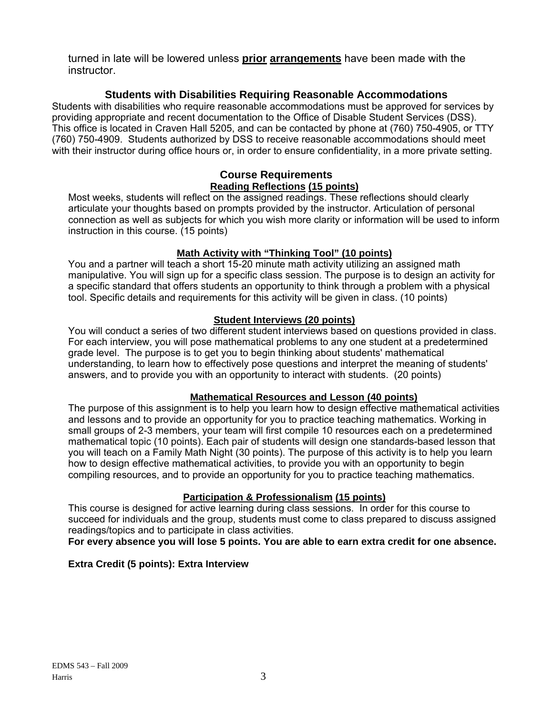turned in late will be lowered unless **prior arrangements** have been made with the instructor.

## **Students with Disabilities Requiring Reasonable Accommodations**

Students with disabilities who require reasonable accommodations must be approved for services by providing appropriate and recent documentation to the Office of Disable Student Services (DSS). This office is located in Craven Hall 5205, and can be contacted by phone at (760) 750-4905, or TTY (760) 750-4909. Students authorized by DSS to receive reasonable accommodations should meet with their instructor during office hours or, in order to ensure confidentiality, in a more private setting.

### **Course Requirements Reading Reflections (15 points)**

Most weeks, students will reflect on the assigned readings. These reflections should clearly articulate your thoughts based on prompts provided by the instructor. Articulation of personal connection as well as subjects for which you wish more clarity or information will be used to inform instruction in this course. (15 points)

## **Math Activity with "Thinking Tool" (10 points)**

You and a partner will teach a short 15-20 minute math activity utilizing an assigned math manipulative. You will sign up for a specific class session. The purpose is to design an activity for a specific standard that offers students an opportunity to think through a problem with a physical tool. Specific details and requirements for this activity will be given in class. (10 points)

## **Student Interviews (20 points)**

You will conduct a series of two different student interviews based on questions provided in class. For each interview, you will pose mathematical problems to any one student at a predetermined grade level. The purpose is to get you to begin thinking about students' mathematical understanding, to learn how to effectively pose questions and interpret the meaning of students' answers, and to provide you with an opportunity to interact with students. (20 points)

## **Mathematical Resources and Lesson (40 points)**

The purpose of this assignment is to help you learn how to design effective mathematical activities and lessons and to provide an opportunity for you to practice teaching mathematics. Working in small groups of 2-3 members, your team will first compile 10 resources each on a predetermined mathematical topic (10 points). Each pair of students will design one standards-based lesson that you will teach on a Family Math Night (30 points). The purpose of this activity is to help you learn how to design effective mathematical activities, to provide you with an opportunity to begin compiling resources, and to provide an opportunity for you to practice teaching mathematics.

## **Participation & Professionalism (15 points)**

This course is designed for active learning during class sessions. In order for this course to succeed for individuals and the group, students must come to class prepared to discuss assigned readings/topics and to participate in class activities.

## **For every absence you will lose 5 points. You are able to earn extra credit for one absence.**

## **Extra Credit (5 points): Extra Interview**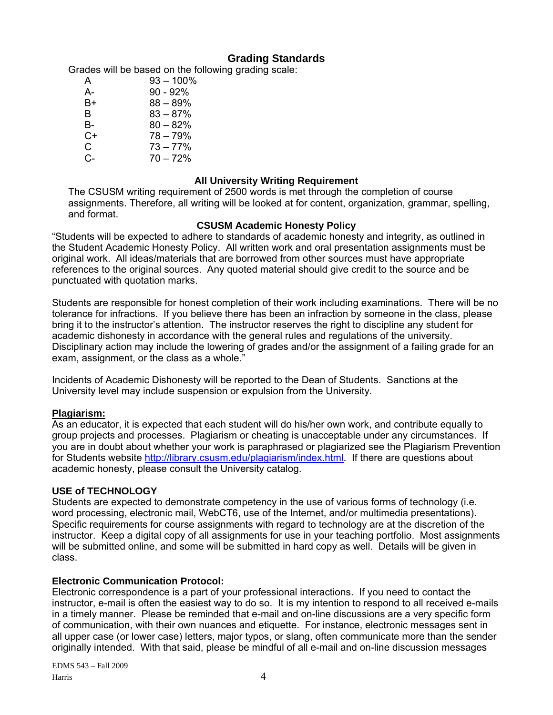## **Grading Standards**

Grades will be based on the following grading scale:

| A  | $93 - 100\%$ |
|----|--------------|
| А- | $90 - 92\%$  |
| B+ | $88 - 89\%$  |
| B. | $83 - 87%$   |
| B- | $80 - 82%$   |
| C+ | $78 - 79%$   |
| C. | $73 - 77%$   |
| C- | $70 - 72%$   |

### **All University Writing Requirement**

The CSUSM writing requirement of 2500 words is met through the completion of course assignments. Therefore, all writing will be looked at for content, organization, grammar, spelling, and format.

#### **CSUSM Academic Honesty Policy**

"Students will be expected to adhere to standards of academic honesty and integrity, as outlined in the Student Academic Honesty Policy. All written work and oral presentation assignments must be original work. All ideas/materials that are borrowed from other sources must have appropriate references to the original sources. Any quoted material should give credit to the source and be punctuated with quotation marks.

Students are responsible for honest completion of their work including examinations. There will be no tolerance for infractions. If you believe there has been an infraction by someone in the class, please bring it to the instructor's attention. The instructor reserves the right to discipline any student for academic dishonesty in accordance with the general rules and regulations of the university. Disciplinary action may include the lowering of grades and/or the assignment of a failing grade for an exam, assignment, or the class as a whole."

Incidents of Academic Dishonesty will be reported to the Dean of Students. Sanctions at the University level may include suspension or expulsion from the University.

## **Plagiarism:**

As an educator, it is expected that each student will do his/her own work, and contribute equally to group projects and processes. Plagiarism or cheating is unacceptable under any circumstances. If you are in doubt about whether your work is paraphrased or plagiarized see the Plagiarism Prevention for Students website http://library.csusm.edu/plagiarism/index.html. If there are questions about academic honesty, please consult the University catalog.

#### **USE of TECHNOLOGY**

Students are expected to demonstrate competency in the use of various forms of technology (i.e. word processing, electronic mail, WebCT6, use of the Internet, and/or multimedia presentations). Specific requirements for course assignments with regard to technology are at the discretion of the instructor. Keep a digital copy of all assignments for use in your teaching portfolio. Most assignments will be submitted online, and some will be submitted in hard copy as well. Details will be given in class.

## **Electronic Communication Protocol:**

Electronic correspondence is a part of your professional interactions. If you need to contact the instructor, e-mail is often the easiest way to do so. It is my intention to respond to all received e-mails in a timely manner. Please be reminded that e-mail and on-line discussions are a very specific form of communication, with their own nuances and etiquette. For instance, electronic messages sent in all upper case (or lower case) letters, major typos, or slang, often communicate more than the sender originally intended. With that said, please be mindful of all e-mail and on-line discussion messages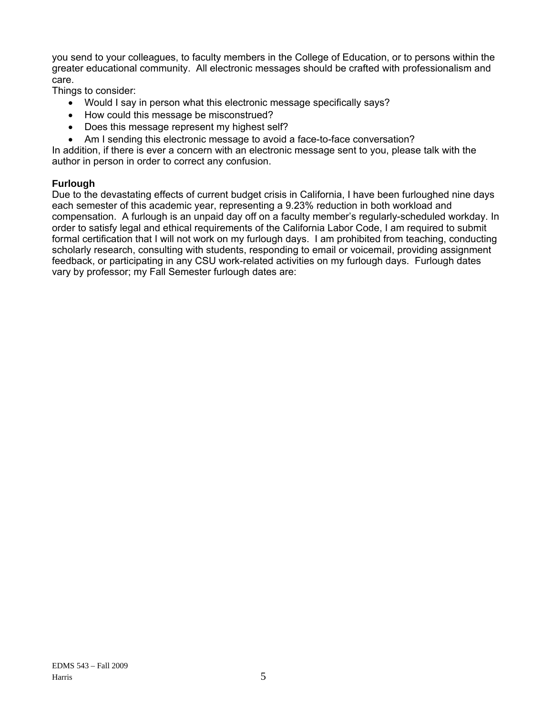you send to your colleagues, to faculty members in the College of Education, or to persons within the greater educational community. All electronic messages should be crafted with professionalism and care.

Things to consider:

- Would I say in person what this electronic message specifically says?
- How could this message be misconstrued?
- Does this message represent my highest self?
- Am I sending this electronic message to avoid a face-to-face conversation?

In addition, if there is ever a concern with an electronic message sent to you, please talk with the author in person in order to correct any confusion.

#### **Furlough**

Due to the devastating effects of current budget crisis in California, I have been furloughed nine days each semester of this academic year, representing a 9.23% reduction in both workload and compensation. A furlough is an unpaid day off on a faculty member's regularly-scheduled workday. In order to satisfy legal and ethical requirements of the California Labor Code, I am required to submit formal certification that I will not work on my furlough days. I am prohibited from teaching, conducting scholarly research, consulting with students, responding to email or voicemail, providing assignment feedback, or participating in any CSU work-related activities on my furlough days. Furlough dates vary by professor; my Fall Semester furlough dates are: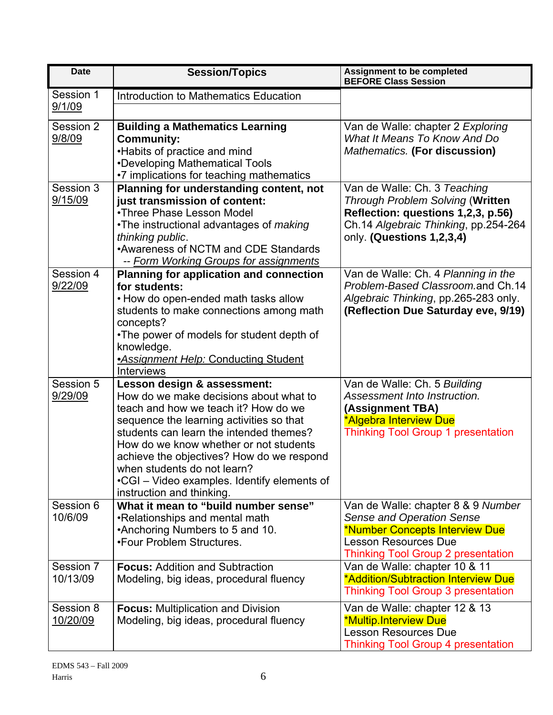| <b>Date</b>           | <b>Session/Topics</b>                                                                                                                                                                                                                                                                                                                                                                                  | <b>Assignment to be completed</b><br><b>BEFORE Class Session</b>                                                                                                                     |
|-----------------------|--------------------------------------------------------------------------------------------------------------------------------------------------------------------------------------------------------------------------------------------------------------------------------------------------------------------------------------------------------------------------------------------------------|--------------------------------------------------------------------------------------------------------------------------------------------------------------------------------------|
| Session 1<br>9/1/09   | <b>Introduction to Mathematics Education</b>                                                                                                                                                                                                                                                                                                                                                           |                                                                                                                                                                                      |
| Session 2<br>9/8/09   | <b>Building a Mathematics Learning</b><br><b>Community:</b><br>•Habits of practice and mind<br>•Developing Mathematical Tools<br>•7 implications for teaching mathematics                                                                                                                                                                                                                              | Van de Walle: chapter 2 Exploring<br>What It Means To Know And Do<br>Mathematics. (For discussion)                                                                                   |
| Session 3<br>9/15/09  | Planning for understanding content, not<br>just transmission of content:<br>•Three Phase Lesson Model<br>•The instructional advantages of <i>making</i><br>thinking public.<br>•Awareness of NCTM and CDE Standards<br>-- Form Working Groups for assignments                                                                                                                                          | Van de Walle: Ch. 3 Teaching<br>Through Problem Solving (Written<br>Reflection: questions 1,2,3, p.56)<br>Ch.14 Algebraic Thinking, pp.254-264<br>only. (Questions 1,2,3,4)          |
| Session 4<br>9/22/09  | <b>Planning for application and connection</b><br>for students:<br>• How do open-ended math tasks allow<br>students to make connections among math<br>concepts?<br>•The power of models for student depth of<br>knowledge.<br><b>Assignment Help: Conducting Student</b><br><b>Interviews</b>                                                                                                          | Van de Walle: Ch. 4 Planning in the<br>Problem-Based Classroom.and Ch.14<br>Algebraic Thinking, pp.265-283 only.<br>(Reflection Due Saturday eve, 9/19)                              |
| Session 5<br>9/29/09  | Lesson design & assessment:<br>How do we make decisions about what to<br>teach and how we teach it? How do we<br>sequence the learning activities so that<br>students can learn the intended themes?<br>How do we know whether or not students<br>achieve the objectives? How do we respond<br>when students do not learn?<br>•CGI – Video examples. Identify elements of<br>instruction and thinking. | Van de Walle: Ch. 5 Building<br>Assessment Into Instruction.<br>(Assignment TBA)<br>*Algebra Interview Due<br><b>Thinking Tool Group 1 presentation</b>                              |
| Session 6<br>10/6/09  | What it mean to "build number sense"<br>•Relationships and mental math<br>*Anchoring Numbers to 5 and 10.<br>•Four Problem Structures.                                                                                                                                                                                                                                                                 | Van de Walle: chapter 8 & 9 Number<br><b>Sense and Operation Sense</b><br>*Number Concepts Interview Due<br><b>Lesson Resources Due</b><br><b>Thinking Tool Group 2 presentation</b> |
| Session 7<br>10/13/09 | <b>Focus: Addition and Subtraction</b><br>Modeling, big ideas, procedural fluency                                                                                                                                                                                                                                                                                                                      | Van de Walle: chapter 10 & 11<br>*Addition/Subtraction Interview Due<br><b>Thinking Tool Group 3 presentation</b>                                                                    |
| Session 8<br>10/20/09 | <b>Focus: Multiplication and Division</b><br>Modeling, big ideas, procedural fluency                                                                                                                                                                                                                                                                                                                   | Van de Walle: chapter 12 & 13<br>*Multip.Interview Due<br><b>Lesson Resources Due</b><br><b>Thinking Tool Group 4 presentation</b>                                                   |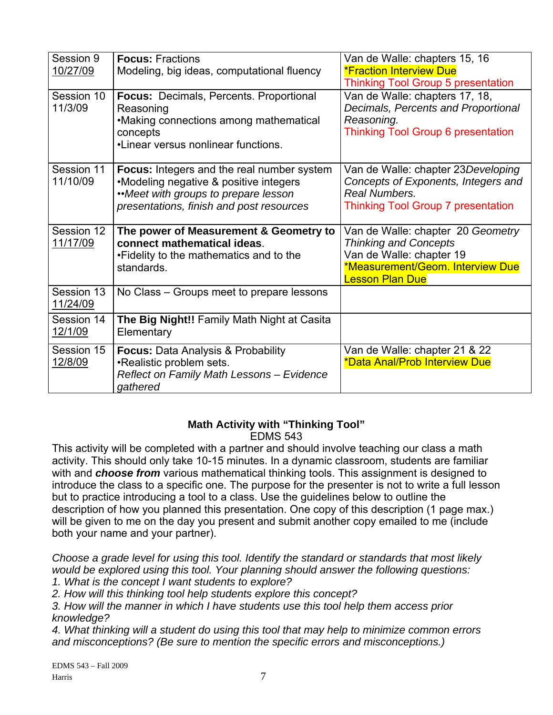| Session 9<br>10/27/09<br>Session 10<br>11/3/09 | <b>Focus: Fractions</b><br>Modeling, big ideas, computational fluency<br><b>Focus: Decimals, Percents. Proportional</b><br>Reasoning                                    | Van de Walle: chapters 15, 16<br><b>*Fraction Interview Due</b><br><b>Thinking Tool Group 5 presentation</b><br>Van de Walle: chapters 17, 18,<br>Decimals, Percents and Proportional |
|------------------------------------------------|-------------------------------------------------------------------------------------------------------------------------------------------------------------------------|---------------------------------------------------------------------------------------------------------------------------------------------------------------------------------------|
|                                                | •Making connections among mathematical<br>concepts<br>•Linear versus nonlinear functions.                                                                               | Reasoning.<br><b>Thinking Tool Group 6 presentation</b>                                                                                                                               |
| Session 11<br>11/10/09                         | Focus: Integers and the real number system<br>•Modeling negative & positive integers<br>"Meet with groups to prepare lesson<br>presentations, finish and post resources | Van de Walle: chapter 23 Developing<br>Concepts of Exponents, Integers and<br>Real Numbers.<br><b>Thinking Tool Group 7 presentation</b>                                              |
| Session 12<br>11/17/09                         | The power of Measurement & Geometry to<br>connect mathematical ideas.<br>. Fidelity to the mathematics and to the<br>standards.                                         | Van de Walle: chapter 20 Geometry<br><b>Thinking and Concepts</b><br>Van de Walle: chapter 19<br>*Measurement/Geom. Interview Due<br><b>Lesson Plan Due</b>                           |
| Session 13<br>11/24/09                         | No Class – Groups meet to prepare lessons                                                                                                                               |                                                                                                                                                                                       |
| Session 14<br>12/1/09                          | The Big Night!! Family Math Night at Casita<br>Elementary                                                                                                               |                                                                                                                                                                                       |
| Session 15<br>12/8/09                          | <b>Focus: Data Analysis &amp; Probability</b><br>•Realistic problem sets.<br>Reflect on Family Math Lessons - Evidence<br>gathered                                      | Van de Walle: chapter 21 & 22<br>*Data Anal/Prob Interview Due                                                                                                                        |

## **Math Activity with "Thinking Tool"**  EDMS 543

This activity will be completed with a partner and should involve teaching our class a math activity. This should only take 10-15 minutes. In a dynamic classroom, students are familiar with and *choose from* various mathematical thinking tools. This assignment is designed to introduce the class to a specific one. The purpose for the presenter is not to write a full lesson but to practice introducing a tool to a class. Use the guidelines below to outline the description of how you planned this presentation. One copy of this description (1 page max.) will be given to me on the day you present and submit another copy emailed to me (include both your name and your partner).

*Choose a grade level for using this tool. Identify the standard or standards that most likely would be explored using this tool. Your planning should answer the following questions:* 

*1. What is the concept I want students to explore?* 

*2. How will this thinking tool help students explore this concept?* 

*3. How will the manner in which I have students use this tool help them access prior knowledge?* 

*4. What thinking will a student do using this tool that may help to minimize common errors and misconceptions? (Be sure to mention the specific errors and misconceptions.)*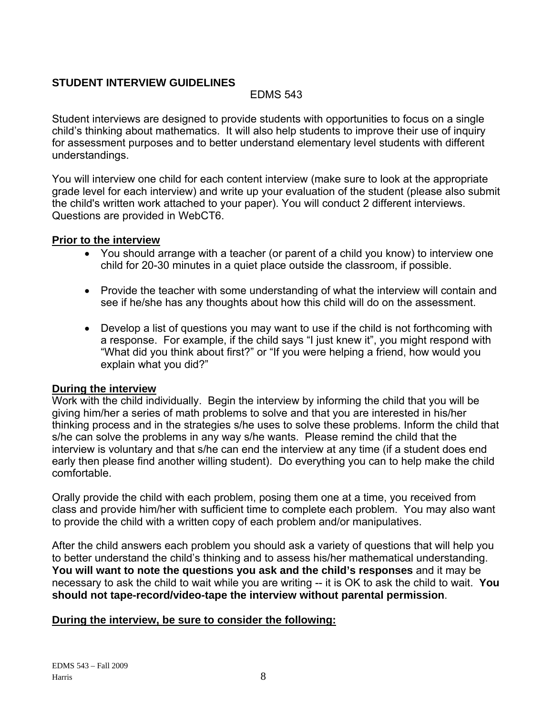## **STUDENT INTERVIEW GUIDELINES**

## EDMS 543

Student interviews are designed to provide students with opportunities to focus on a single child's thinking about mathematics. It will also help students to improve their use of inquiry for assessment purposes and to better understand elementary level students with different understandings.

You will interview one child for each content interview (make sure to look at the appropriate grade level for each interview) and write up your evaluation of the student (please also submit the child's written work attached to your paper). You will conduct 2 different interviews. Questions are provided in WebCT6.

## **Prior to the interview**

- You should arrange with a teacher (or parent of a child you know) to interview one child for 20-30 minutes in a quiet place outside the classroom, if possible.
- Provide the teacher with some understanding of what the interview will contain and see if he/she has any thoughts about how this child will do on the assessment.
- Develop a list of questions you may want to use if the child is not forthcoming with a response. For example, if the child says "I just knew it", you might respond with "What did you think about first?" or "If you were helping a friend, how would you explain what you did?"

## **During the interview**

Work with the child individually. Begin the interview by informing the child that you will be giving him/her a series of math problems to solve and that you are interested in his/her thinking process and in the strategies s/he uses to solve these problems. Inform the child that s/he can solve the problems in any way s/he wants. Please remind the child that the interview is voluntary and that s/he can end the interview at any time (if a student does end early then please find another willing student). Do everything you can to help make the child comfortable.

Orally provide the child with each problem, posing them one at a time, you received from class and provide him/her with sufficient time to complete each problem. You may also want to provide the child with a written copy of each problem and/or manipulatives.

After the child answers each problem you should ask a variety of questions that will help you to better understand the child's thinking and to assess his/her mathematical understanding. **You will want to note the questions you ask and the child's responses** and it may be necessary to ask the child to wait while you are writing -- it is OK to ask the child to wait. **You should not tape-record/video-tape the interview without parental permission**.

## **During the interview, be sure to consider the following:**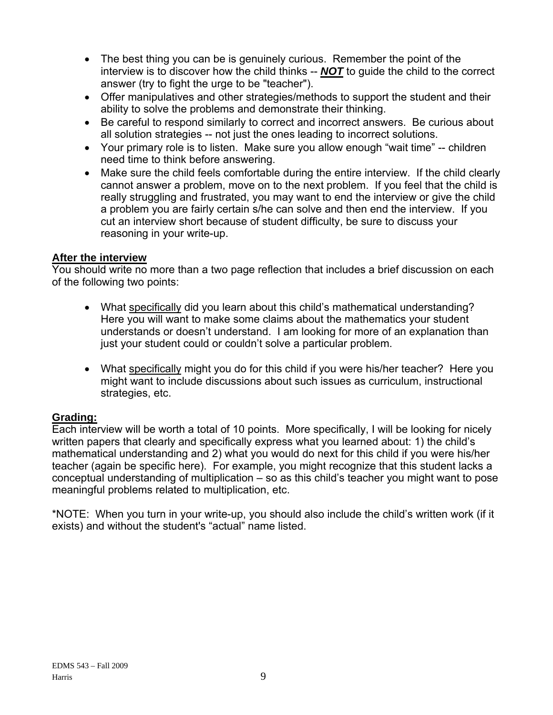- The best thing you can be is genuinely curious. Remember the point of the interview is to discover how the child thinks -- *NOT* to guide the child to the correct answer (try to fight the urge to be "teacher").
- Offer manipulatives and other strategies/methods to support the student and their ability to solve the problems and demonstrate their thinking.
- Be careful to respond similarly to correct and incorrect answers. Be curious about all solution strategies -- not just the ones leading to incorrect solutions.
- Your primary role is to listen. Make sure you allow enough "wait time" -- children need time to think before answering.
- Make sure the child feels comfortable during the entire interview. If the child clearly cannot answer a problem, move on to the next problem. If you feel that the child is really struggling and frustrated, you may want to end the interview or give the child a problem you are fairly certain s/he can solve and then end the interview. If you cut an interview short because of student difficulty, be sure to discuss your reasoning in your write-up.

## **After the interview**

You should write no more than a two page reflection that includes a brief discussion on each of the following two points:

- What specifically did you learn about this child's mathematical understanding? Here you will want to make some claims about the mathematics your student understands or doesn't understand. I am looking for more of an explanation than just your student could or couldn't solve a particular problem.
- What specifically might you do for this child if you were his/her teacher? Here you might want to include discussions about such issues as curriculum, instructional strategies, etc.

## **Grading:**

Each interview will be worth a total of 10 points. More specifically, I will be looking for nicely written papers that clearly and specifically express what you learned about: 1) the child's mathematical understanding and 2) what you would do next for this child if you were his/her teacher (again be specific here). For example, you might recognize that this student lacks a conceptual understanding of multiplication – so as this child's teacher you might want to pose meaningful problems related to multiplication, etc.

\*NOTE: When you turn in your write-up, you should also include the child's written work (if it exists) and without the student's "actual" name listed.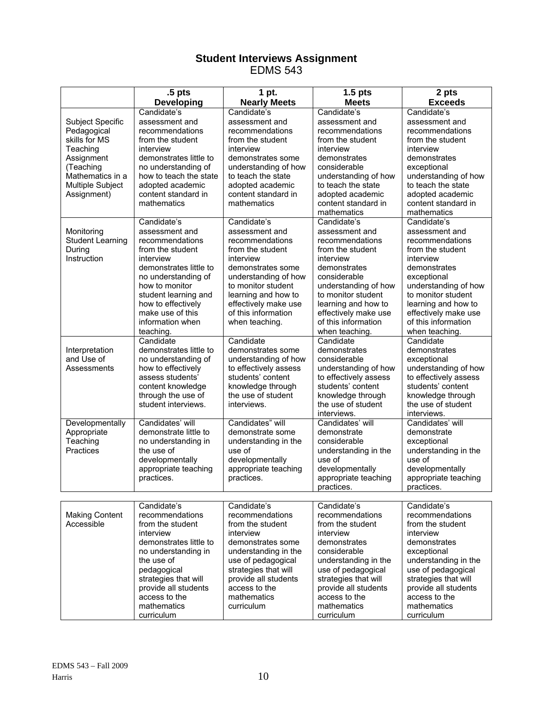#### **Student Interviews Assignment**  EDMS 543

|                         | .5 <sub>pts</sub>                             | 1 pt.                                     | $1.5$ pts                               | 2 pts                                   |
|-------------------------|-----------------------------------------------|-------------------------------------------|-----------------------------------------|-----------------------------------------|
|                         | Developing                                    | <b>Nearly Meets</b>                       | <b>Meets</b>                            | <b>Exceeds</b>                          |
|                         | Candidate's                                   | Candidate's                               | Candidate's                             | Candidate's                             |
| Subject Specific        | assessment and                                | assessment and                            | assessment and                          | assessment and                          |
| Pedagogical             | recommendations                               | recommendations                           | recommendations                         | recommendations                         |
| skills for MS           | from the student                              | from the student                          | from the student                        | from the student                        |
| Teaching                | interview                                     | interview                                 | interview                               | interview                               |
| Assignment              | demonstrates little to                        | demonstrates some                         | demonstrates                            | demonstrates                            |
| (Teaching               | no understanding of                           | understanding of how                      | considerable                            | exceptional                             |
| Mathematics in a        | how to teach the state                        | to teach the state                        | understanding of how                    | understanding of how                    |
| Multiple Subject        | adopted academic                              | adopted academic                          | to teach the state                      | to teach the state                      |
| Assignment)             | content standard in<br>mathematics            | content standard in<br>mathematics        | adopted academic<br>content standard in | adopted academic<br>content standard in |
|                         |                                               |                                           | mathematics                             | mathematics                             |
|                         | Candidate's                                   | Candidate's                               | Candidate's                             | Candidate's                             |
| Monitoring              | assessment and                                | assessment and                            | assessment and                          | assessment and                          |
| <b>Student Learning</b> | recommendations                               | recommendations                           | recommendations                         | recommendations                         |
| During                  | from the student                              | from the student                          | from the student                        | from the student                        |
| Instruction             | interview                                     | interview                                 | interview                               | interview                               |
|                         | demonstrates little to                        | demonstrates some                         | demonstrates                            | demonstrates                            |
|                         | no understanding of                           | understanding of how                      | considerable                            | exceptional                             |
|                         | how to monitor                                | to monitor student                        | understanding of how                    | understanding of how                    |
|                         | student learning and                          | learning and how to                       | to monitor student                      | to monitor student                      |
|                         | how to effectively                            | effectively make use                      | learning and how to                     | learning and how to                     |
|                         | make use of this                              | of this information                       | effectively make use                    | effectively make use                    |
|                         | information when                              | when teaching.                            | of this information                     | of this information                     |
|                         | teaching.                                     |                                           | when teaching.                          | when teaching.                          |
|                         | Candidate                                     | Candidate                                 | Candidate                               | Candidate                               |
| Interpretation          | demonstrates little to                        | demonstrates some                         | demonstrates                            | demonstrates                            |
| and Use of              | no understanding of                           | understanding of how                      | considerable                            | exceptional                             |
| Assessments             | how to effectively                            | to effectively assess                     | understanding of how                    | understanding of how                    |
|                         | assess students'                              | students' content                         | to effectively assess                   | to effectively assess                   |
|                         | content knowledge<br>through the use of       | knowledge through<br>the use of student   | students' content                       | students' content                       |
|                         | student interviews.                           | interviews.                               | knowledge through<br>the use of student | knowledge through<br>the use of student |
|                         |                                               |                                           | interviews.                             | interviews.                             |
| Developmentally         | Candidates' will                              | Candidates" will                          | Candidates' will                        | Candidates' will                        |
| Appropriate             | demonstrate little to                         | demonstrate some                          | demonstrate                             | demonstrate                             |
| Teaching                | no understanding in                           | understanding in the                      | considerable                            | exceptional                             |
| Practices               | the use of                                    | use of                                    | understanding in the                    | understanding in the                    |
|                         | developmentally                               | developmentally                           | use of                                  | use of                                  |
|                         | appropriate teaching                          | appropriate teaching                      | developmentally                         | developmentally                         |
|                         | practices.                                    | practices.                                | appropriate teaching                    | appropriate teaching                    |
|                         |                                               |                                           | practices.                              | practices.                              |
|                         |                                               |                                           |                                         |                                         |
|                         | Candidate's                                   | Candidate's                               | Candidate's                             | Candidate's                             |
| <b>Making Content</b>   | recommendations                               | recommendations                           | recommendations                         | recommendations                         |
| Accessible              | from the student                              | from the student                          | from the student                        | from the student                        |
|                         | interview                                     | interview                                 | interview                               | interview                               |
|                         | demonstrates little to<br>no understanding in | demonstrates some<br>understanding in the | demonstrates<br>considerable            | demonstrates<br>exceptional             |
|                         | the use of                                    | use of pedagogical                        | understanding in the                    | understanding in the                    |
|                         | pedagogical                                   | strategies that will                      | use of pedagogical                      | use of pedagogical                      |
|                         | strategies that will                          | provide all students                      | strategies that will                    | strategies that will                    |
|                         | provide all students                          | access to the                             | provide all students                    | provide all students                    |
|                         | access to the                                 | mathematics                               | access to the                           | access to the                           |
|                         | mathematics                                   | curriculum                                | mathematics                             | mathematics                             |
|                         | curriculum                                    |                                           | curriculum                              | curriculum                              |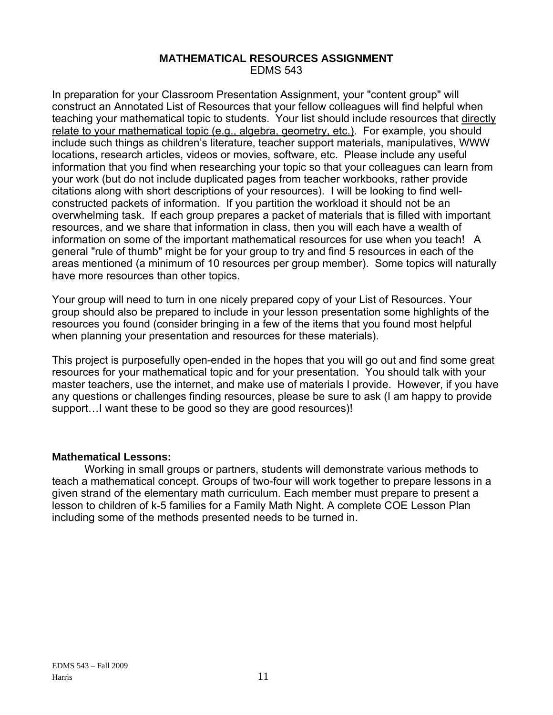#### **MATHEMATICAL RESOURCES ASSIGNMENT**  EDMS 543

In preparation for your Classroom Presentation Assignment, your "content group" will construct an Annotated List of Resources that your fellow colleagues will find helpful when teaching your mathematical topic to students. Your list should include resources that directly relate to your mathematical topic (e.g., algebra, geometry, etc.). For example, you should include such things as children's literature, teacher support materials, manipulatives, WWW locations, research articles, videos or movies, software, etc. Please include any useful information that you find when researching your topic so that your colleagues can learn from your work (but do not include duplicated pages from teacher workbooks, rather provide citations along with short descriptions of your resources). I will be looking to find wellconstructed packets of information. If you partition the workload it should not be an overwhelming task. If each group prepares a packet of materials that is filled with important resources, and we share that information in class, then you will each have a wealth of information on some of the important mathematical resources for use when you teach! A general "rule of thumb" might be for your group to try and find 5 resources in each of the areas mentioned (a minimum of 10 resources per group member). Some topics will naturally have more resources than other topics.

Your group will need to turn in one nicely prepared copy of your List of Resources. Your group should also be prepared to include in your lesson presentation some highlights of the resources you found (consider bringing in a few of the items that you found most helpful when planning your presentation and resources for these materials).

This project is purposefully open-ended in the hopes that you will go out and find some great resources for your mathematical topic and for your presentation. You should talk with your master teachers, use the internet, and make use of materials I provide. However, if you have any questions or challenges finding resources, please be sure to ask (I am happy to provide support…I want these to be good so they are good resources)!

## **Mathematical Lessons:**

Working in small groups or partners, students will demonstrate various methods to teach a mathematical concept. Groups of two-four will work together to prepare lessons in a given strand of the elementary math curriculum. Each member must prepare to present a lesson to children of k-5 families for a Family Math Night. A complete COE Lesson Plan including some of the methods presented needs to be turned in.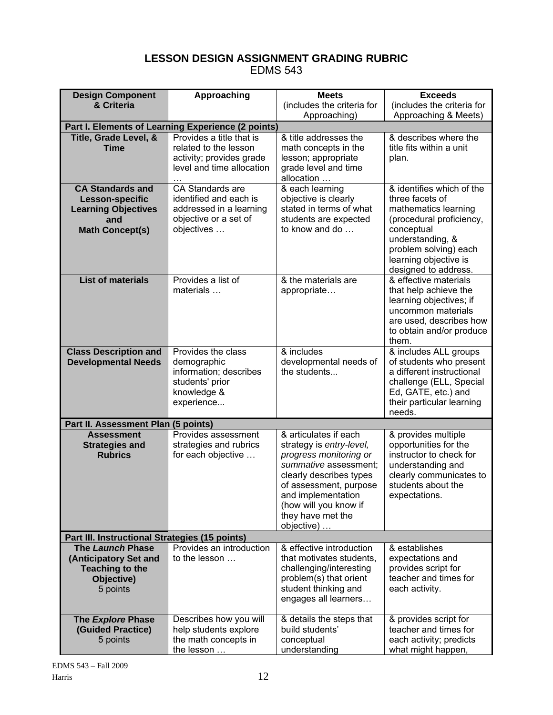# **LESSON DESIGN ASSIGNMENT GRADING RUBRIC**

EDMS 543

| <b>Design Component</b>                                                                                   | Approaching                                                                                                  | <b>Meets</b>                                                                                                                                                                                                                                | <b>Exceeds</b>                                                                                                                                                                                               |  |  |
|-----------------------------------------------------------------------------------------------------------|--------------------------------------------------------------------------------------------------------------|---------------------------------------------------------------------------------------------------------------------------------------------------------------------------------------------------------------------------------------------|--------------------------------------------------------------------------------------------------------------------------------------------------------------------------------------------------------------|--|--|
| & Criteria                                                                                                |                                                                                                              | (includes the criteria for                                                                                                                                                                                                                  | (includes the criteria for                                                                                                                                                                                   |  |  |
|                                                                                                           |                                                                                                              | Approaching)                                                                                                                                                                                                                                | Approaching & Meets)                                                                                                                                                                                         |  |  |
|                                                                                                           | Part I. Elements of Learning Experience (2 points)                                                           |                                                                                                                                                                                                                                             |                                                                                                                                                                                                              |  |  |
| Title, Grade Level, &<br><b>Time</b>                                                                      | Provides a title that is<br>related to the lesson<br>activity; provides grade<br>level and time allocation   | & title addresses the<br>math concepts in the<br>lesson; appropriate<br>grade level and time<br>allocation                                                                                                                                  | & describes where the<br>title fits within a unit<br>plan.                                                                                                                                                   |  |  |
| <b>CA Standards and</b><br>Lesson-specific<br><b>Learning Objectives</b><br>and<br><b>Math Concept(s)</b> | CA Standards are<br>identified and each is<br>addressed in a learning<br>objective or a set of<br>objectives | & each learning<br>objective is clearly<br>stated in terms of what<br>students are expected<br>to know and do                                                                                                                               | & identifies which of the<br>three facets of<br>mathematics learning<br>(procedural proficiency,<br>conceptual<br>understanding, &<br>problem solving) each<br>learning objective is<br>designed to address. |  |  |
| <b>List of materials</b>                                                                                  | Provides a list of<br>materials                                                                              | & the materials are<br>appropriate                                                                                                                                                                                                          | & effective materials<br>that help achieve the<br>learning objectives; if<br>uncommon materials<br>are used, describes how<br>to obtain and/or produce<br>them.                                              |  |  |
| <b>Class Description and</b><br><b>Developmental Needs</b>                                                | Provides the class<br>demographic<br>information; describes<br>students' prior<br>knowledge &<br>experience  | & includes<br>developmental needs of<br>the students                                                                                                                                                                                        | & includes ALL groups<br>of students who present<br>a different instructional<br>challenge (ELL, Special<br>Ed, GATE, etc.) and<br>their particular learning<br>needs.                                       |  |  |
| Part II. Assessment Plan (5 points)                                                                       |                                                                                                              |                                                                                                                                                                                                                                             |                                                                                                                                                                                                              |  |  |
| <b>Assessment</b><br><b>Strategies and</b><br><b>Rubrics</b>                                              | Provides assessment<br>strategies and rubrics<br>for each objective                                          | & articulates if each<br>strategy is entry-level,<br>progress monitoring or<br>summative assessment;<br>clearly describes types<br>of assessment, purpose<br>and implementation<br>(how will you know if<br>they have met the<br>objective) | & provides multiple<br>opportunities for the<br>instructor to check for<br>understanding and<br>clearly communicates to<br>students about the<br>expectations.                                               |  |  |
| Part III. Instructional Strategies (15 points)                                                            |                                                                                                              |                                                                                                                                                                                                                                             |                                                                                                                                                                                                              |  |  |
| The Launch Phase<br>(Anticipatory Set and<br><b>Teaching to the</b><br>Objective)<br>5 points             | Provides an introduction<br>to the lesson                                                                    | & effective introduction<br>that motivates students,<br>challenging/interesting<br>problem(s) that orient<br>student thinking and<br>engages all learners                                                                                   | & establishes<br>expectations and<br>provides script for<br>teacher and times for<br>each activity.                                                                                                          |  |  |
| The Explore Phase<br>(Guided Practice)<br>5 points                                                        | Describes how you will<br>help students explore<br>the math concepts in<br>the lesson                        | & details the steps that<br>build students'<br>conceptual<br>understanding                                                                                                                                                                  | & provides script for<br>teacher and times for<br>each activity; predicts<br>what might happen,                                                                                                              |  |  |